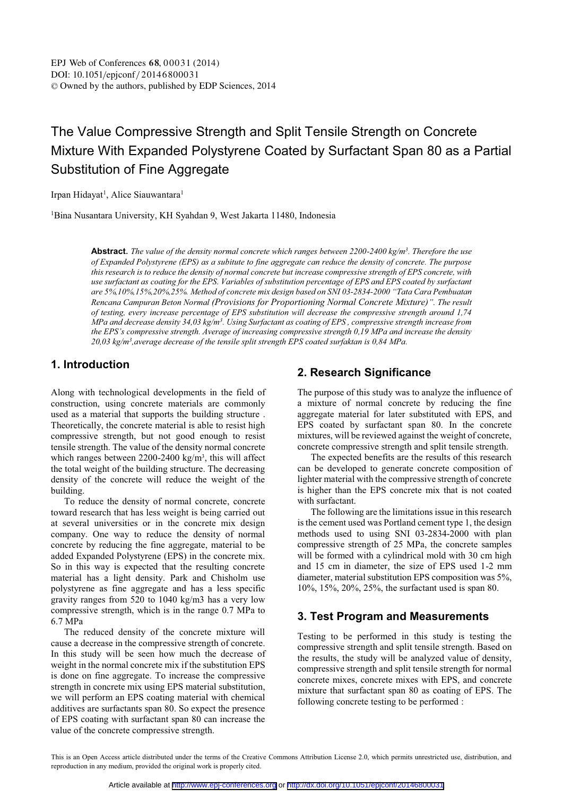# The Value Compressive Strength and Split Tensile Strength on Concrete Mixture With Expanded Polystyrene Coated by Surfactant Span 80 as a Partial Substitution of Fine Aggregate

Irpan Hidayat<sup>1</sup>, Alice Siauwantara<sup>1</sup>

1 Bina Nusantara University, KH Syahdan 9, West Jakarta 11480, Indonesia

**Abstract**. *The value of the density normal concrete which ranges between 2200-2400 kg/m3. Therefore the use of Expanded Polystyrene (EPS) as a subitute to fine aggregate can reduce the density of concrete. The purpose this research is to reduce the density of normal concrete but increase compressive strength of EPS concrete, with use surfactant as coating for the EPS. Variables of substitution percentage of EPS and EPS coated by surfactant are 5%,10%,15%,20%,25%. Method of concrete mix design based on SNI 03-2834-2000 "Tata Cara Pembuatan Rencana Campuran Beton Normal (Provisions for Proportioning Normal Concrete Mixture)". The result of testing, every increase percentage of EPS substitution will decrease the compressive strength around 1,74 MPa and decrease density 34,03 kg/m3. Using Surfactant as coating of EPS , compressive strength increase from the EPS's compressive strength. Average of increasing compressive strength 0,19 MPa and increase the density 20,03 kg/m3,average decrease of the tensile split strength EPS coated surfaktan is 0,84 MPa.* 

### **1. Introduction**

Along with technological developments in the field of construction, using concrete materials are commonly used as a material that supports the building structure . Theoretically, the concrete material is able to resist high compressive strength, but not good enough to resist tensile strength. The value of the density normal concrete which ranges between 2200-2400 kg/m<sup>3</sup>, this will affect the total weight of the building structure. The decreasing density of the concrete will reduce the weight of the building.

To reduce the density of normal concrete, concrete toward research that has less weight is being carried out at several universities or in the concrete mix design company. One way to reduce the density of normal concrete by reducing the fine aggregate, material to be added Expanded Polystyrene (EPS) in the concrete mix. So in this way is expected that the resulting concrete material has a light density. Park and Chisholm use polystyrene as fine aggregate and has a less specific gravity ranges from 520 to 1040 kg/m3 has a very low compressive strength, which is in the range 0.7 MPa to 6.7 MPa

The reduced density of the concrete mixture will cause a decrease in the compressive strength of concrete. In this study will be seen how much the decrease of weight in the normal concrete mix if the substitution EPS is done on fine aggregate. To increase the compressive strength in concrete mix using EPS material substitution, we will perform an EPS coating material with chemical additives are surfactants span 80. So expect the presence of EPS coating with surfactant span 80 can increase the value of the concrete compressive strength.

### **2. Research Significance**

The purpose of this study was to analyze the influence of a mixture of normal concrete by reducing the fine aggregate material for later substituted with EPS, and EPS coated by surfactant span 80. In the concrete mixtures, will be reviewed against the weight of concrete, concrete compressive strength and split tensile strength.

The expected benefits are the results of this research can be developed to generate concrete composition of lighter material with the compressive strength of concrete is higher than the EPS concrete mix that is not coated with surfactant.

The following are the limitations issue in this research is the cement used was Portland cement type 1, the design methods used to using SNI 03-2834-2000 with plan compressive strength of 25 MPa, the concrete samples will be formed with a cylindrical mold with 30 cm high and 15 cm in diameter, the size of EPS used 1-2 mm diameter, material substitution EPS composition was 5%, 10%, 15%, 20%, 25%, the surfactant used is span 80.

### **3. Test Program and Measurements**

Testing to be performed in this study is testing the compressive strength and split tensile strength. Based on the results, the study will be analyzed value of density, compressive strength and split tensile strength for normal concrete mixes, concrete mixes with EPS, and concrete mixture that surfactant span 80 as coating of EPS. The following concrete testing to be performed :

This is an Open Access article distributed under the terms of the Creative Commons Attribution License 2.0, which permits unrestricted use, distribution, and reproduction in any medium, provided the original work is properly cited.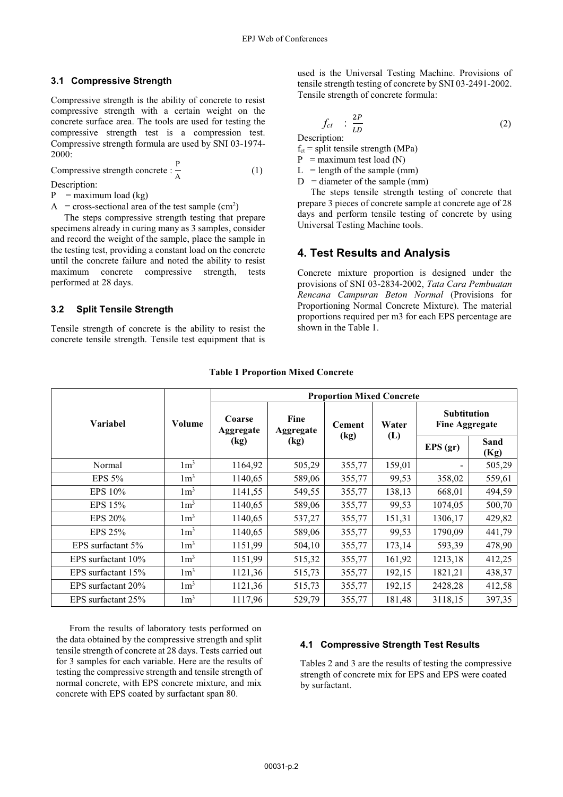#### **3.1 Compressive Strength**

Compressive strength is the ability of concrete to resist compressive strength with a certain weight on the concrete surface area. The tools are used for testing the compressive strength test is a compression test. Compressive strength formula are used by SNI 03-1974- 2000:

Compressive strength concrete :  $\frac{P}{\lambda}$  $\overline{A}$  (1)

Description:

 $P =$  maximum load (kg)

 $A = cross-sectional area of the test sample (cm<sup>2</sup>)$ 

The steps compressive strength testing that prepare specimens already in curing many as 3 samples, consider and record the weight of the sample, place the sample in the testing test, providing a constant load on the concrete until the concrete failure and noted the ability to resist maximum concrete compressive strength, tests performed at 28 days.

#### **3.2 Split Tensile Strength**

Tensile strength of concrete is the ability to resist the concrete tensile strength. Tensile test equipment that is

used is the Universal Testing Machine. Provisions of tensile strength testing of concrete by SNI 03-2491-2002. Tensile strength of concrete formula:

$$
f_{ct} \quad \vdots \quad \frac{2P}{LD} \tag{2}
$$

Description:

 $f_{ct}$  = split tensile strength (MPa)

 $P =$  maximum test load (N)

 $L =$  length of the sample (mm)

 $D =$  diameter of the sample (mm)

The steps tensile strength testing of concrete that prepare 3 pieces of concrete sample at concrete age of 28 days and perform tensile testing of concrete by using Universal Testing Machine tools.

### **4. Test Results and Analysis**

Concrete mixture proportion is designed under the provisions of SNI 03-2834-2002, *Tata Cara Pembuatan Rencana Campuran Beton Normal* (Provisions for Proportioning Normal Concrete Mixture). The material proportions required per m3 for each EPS percentage are shown in the Table 1.

|                       |                |                     | <b>Proportion Mixed Concrete</b> |               |        |                                      |              |  |
|-----------------------|----------------|---------------------|----------------------------------|---------------|--------|--------------------------------------|--------------|--|
| <b>Variabel</b>       | Volume         | Coarse<br>Aggregate | Fine<br>Aggregate                | <b>Cement</b> | Water  | <b>Subtitution</b><br>Fine Aggregate |              |  |
|                       |                | (kg)                | (kg)                             | (kg)          | (L)    | EPS(gr)                              | Sand<br>(Kg) |  |
| Normal                | $1 \text{m}^3$ | 1164,92             | 505,29                           | 355,77        | 159,01 |                                      | 505,29       |  |
| <b>EPS 5%</b>         | $1 \text{m}^3$ | 1140,65             | 589,06                           | 355,77        | 99,53  | 358,02                               | 559,61       |  |
| EPS 10%               | $1 \text{m}^3$ | 1141,55             | 549,55                           | 355,77        | 138,13 | 668,01                               | 494,59       |  |
| EPS 15%               | $1 \text{m}^3$ | 1140,65             | 589,06                           | 355,77        | 99,53  | 1074,05                              | 500,70       |  |
| <b>EPS 20%</b>        | $1 \text{m}^3$ | 1140,65             | 537,27                           | 355,77        | 151,31 | 1306,17                              | 429,82       |  |
| EPS $25%$             | $1 \text{m}^3$ | 1140,65             | 589,06                           | 355,77        | 99,53  | 1790,09                              | 441,79       |  |
| EPS surfactant 5%     | $1 \text{m}^3$ | 1151,99             | 504,10                           | 355,77        | 173,14 | 593,39                               | 478,90       |  |
| EPS surfactant $10\%$ | $1 \text{m}^3$ | 1151,99             | 515,32                           | 355,77        | 161,92 | 1213,18                              | 412,25       |  |
| EPS surfactant 15%    | $1 \text{m}^3$ | 1121,36             | 515,73                           | 355,77        | 192,15 | 1821,21                              | 438,37       |  |
| EPS surfactant 20%    | $1 \text{m}^3$ | 1121,36<br>515,73   |                                  | 355,77        | 192,15 | 2428,28                              | 412,58       |  |
| EPS surfactant 25%    | $1 \text{m}^3$ | 1117,96             | 529,79                           | 355,77        | 181,48 | 3118,15                              | 397,35       |  |

#### **Table 1 Proportion Mixed Concrete**

From the results of laboratory tests performed on the data obtained by the compressive strength and split tensile strength of concrete at 28 days. Tests carried out for 3 samples for each variable. Here are the results of testing the compressive strength and tensile strength of normal concrete, with EPS concrete mixture, and mix concrete with EPS coated by surfactant span 80.

#### **4.1 Compressive Strength Test Results**

Tables 2 and 3 are the results of testing the compressive strength of concrete mix for EPS and EPS were coated by surfactant.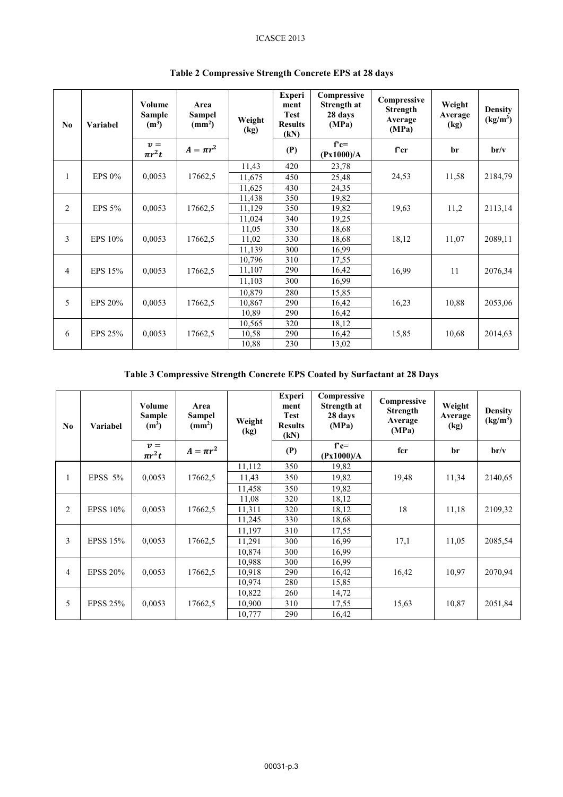#### ICASCE 2013

| N <sub>0</sub> | <b>Variabel</b>       | Volume<br><b>Sample</b><br>$(m^3)$ | Area<br>Sampel<br>(mm <sup>2</sup> ) | Weight<br>(kg) | <b>Experi</b><br>ment<br><b>Test</b><br><b>Results</b><br>(kN) | Compressive<br>Strength at<br>28 days<br>(MPa) | Compressive<br><b>Strength</b><br>Average<br>(MPa) | Weight<br>Average<br>(kg) | <b>Density</b><br>(kg/m <sup>3</sup> ) |
|----------------|-----------------------|------------------------------------|--------------------------------------|----------------|----------------------------------------------------------------|------------------------------------------------|----------------------------------------------------|---------------------------|----------------------------------------|
|                |                       | $v =$<br>$\pi r^2 t$               | $A = \pi r^2$                        |                | (P)                                                            | $f'c=$<br>(Px1000)/A                           | f'cr                                               | br                        | $\mathbf{b} \mathbf{r}/\mathbf{v}$     |
|                |                       |                                    |                                      | 11,43          | 420                                                            | 23,78                                          |                                                    |                           |                                        |
| $\mathbf{1}$   | EPS $0\%$             | 0,0053                             | 17662,5                              | 11,675         | 450                                                            | 25,48                                          | 24,53                                              | 11,58                     | 2184,79                                |
|                |                       |                                    |                                      | 11,625         | 430                                                            | 24,35                                          |                                                    |                           |                                        |
|                | 2<br>EPS 5%<br>0,0053 |                                    |                                      | 11,438         | 350                                                            | 19,82                                          |                                                    |                           |                                        |
|                |                       |                                    | 17662,5                              | 11,129         | 350                                                            | 19,82                                          | 19,63                                              | 11,2                      | 2113,14                                |
|                |                       |                                    |                                      | 11,024         | 340                                                            | 19,25                                          |                                                    |                           |                                        |
|                |                       |                                    | 17662,5                              | 11,05          | 330                                                            | 18,68                                          | 18,12                                              | 11,07                     | 2089,11                                |
| $\mathfrak{Z}$ | EPS 10%               | 0,0053                             |                                      | 11,02          | 330                                                            | 18,68                                          |                                                    |                           |                                        |
|                |                       |                                    |                                      | 11,139         | 300                                                            | 16,99                                          |                                                    |                           |                                        |
|                |                       |                                    |                                      | 10,796         | 310                                                            | 17,55                                          |                                                    |                           |                                        |
| 4              | EPS 15%               | 0,0053                             | 17662,5                              | 11,107         | 290                                                            | 16,42                                          | 16,99                                              | 11                        | 2076,34                                |
|                |                       |                                    |                                      | 11,103         | 300                                                            | 16,99                                          |                                                    |                           |                                        |
|                |                       |                                    |                                      | 10,879         | 280                                                            | 15,85                                          |                                                    |                           |                                        |
| 5              | <b>EPS 20%</b>        | 0,0053                             | 17662,5                              | 10,867         | 290                                                            | 16,42                                          | 16,23                                              | 10,88                     | 2053,06                                |
|                |                       |                                    |                                      | 10,89          | 290                                                            | 16,42                                          |                                                    |                           |                                        |
|                |                       |                                    |                                      | 10,565         | 320                                                            | 18,12                                          |                                                    |                           |                                        |
| 6              | EPS 25%               | 0,0053                             | 17662,5                              | 10,58          | 290                                                            | 16,42                                          | 15,85                                              | 10,68                     | 2014,63                                |
|                |                       |                                    |                                      | 10,88          | 230                                                            | 13,02                                          |                                                    |                           |                                        |

## **Table 2 Compressive Strength Concrete EPS at 28 days**

## **Table 3 Compressive Strength Concrete EPS Coated by Surfactant at 28 Days**

| No.                  | <b>Variabel</b> | Volume<br>Sample<br>(m <sup>3</sup> ) | Area<br>Sampel<br>(mm <sup>2</sup> ) | Weight<br>(kg) | <b>Experi</b><br>ment<br><b>Test</b><br><b>Results</b><br>(kN) | Compressive<br>Strength at<br>28 days<br>(MPa) | Compressive<br>Strength<br>Average<br>(MPa) | Weight<br>Average<br>(kg) | <b>Density</b><br>(kg/m <sup>3</sup> ) |
|----------------------|-----------------|---------------------------------------|--------------------------------------|----------------|----------------------------------------------------------------|------------------------------------------------|---------------------------------------------|---------------------------|----------------------------------------|
|                      |                 | $v =$<br>$\pi r^2 t$                  | $A = \pi r^2$                        |                | (P)                                                            | $f'c=$<br>(Px1000)/A                           | fcr                                         | br                        | $\mathbf{b} \mathbf{r}/\mathbf{v}$     |
|                      |                 |                                       |                                      | 11,112         | 350                                                            | 19,82                                          | 19,48                                       | 11,34                     |                                        |
|                      | EPSS $5\%$      | 0,0053                                | 17662,5                              | 11,43          | 350                                                            | 19,82                                          |                                             |                           | 2140,65                                |
|                      |                 |                                       |                                      | 11,458         | 350                                                            | 19,82                                          |                                             |                           |                                        |
|                      |                 |                                       | 17662,5                              | 11,08          | 320                                                            | 18,12                                          | 18                                          |                           |                                        |
| 2                    | <b>EPSS 10%</b> | 0,0053                                |                                      | 11,311         | 320                                                            | 18,12                                          |                                             | 11,18                     | 2109,32                                |
|                      |                 |                                       |                                      | 11,245         | 330                                                            | 18,68                                          |                                             |                           |                                        |
|                      |                 |                                       |                                      | 11,197         | 310                                                            | 17,55                                          | 17,1                                        | 11,05                     | 2085,54                                |
| 3                    | <b>EPSS 15%</b> | 0,0053                                | 17662,5                              | 11,291         | 300                                                            | 16,99                                          |                                             |                           |                                        |
|                      |                 |                                       |                                      | 10,874         | 300                                                            | 16.99                                          |                                             |                           |                                        |
|                      |                 |                                       |                                      | 10,988         | 300                                                            | 16.99                                          |                                             |                           |                                        |
| 4                    | <b>EPSS 20%</b> | 0,0053                                | 17662,5                              | 10,918         | 290                                                            | 16,42                                          | 16,42                                       | 10,97                     | 2070,94                                |
|                      |                 |                                       |                                      | 10,974         | 280                                                            | 15,85                                          |                                             |                           |                                        |
|                      |                 |                                       |                                      | 10,822         | 260                                                            | 14,72                                          |                                             |                           |                                        |
| 5<br><b>EPSS 25%</b> |                 | 0,0053                                | 17662,5                              | 10,900         | 310                                                            | 17,55                                          | 15,63                                       | 10,87                     | 2051,84                                |
|                      |                 |                                       |                                      | 10,777         | 290                                                            | 16,42                                          |                                             |                           |                                        |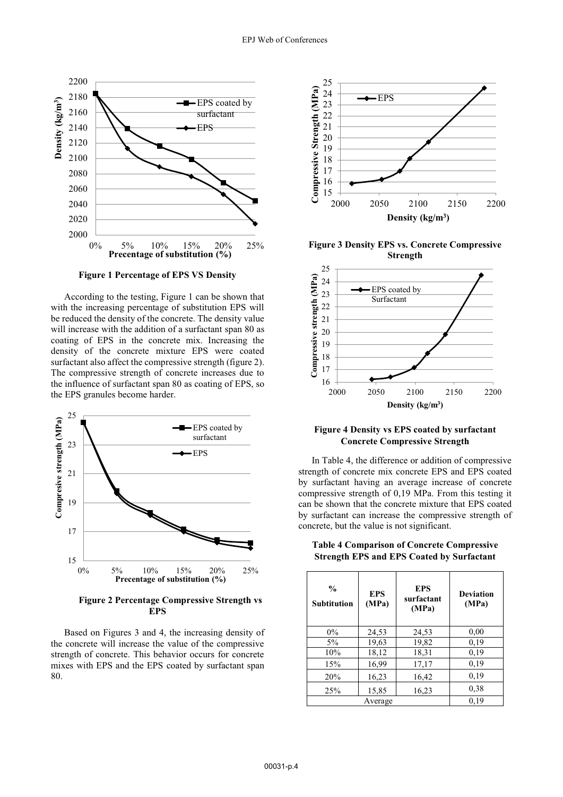

**Figure 1 Percentage of EPS VS Density**

According to the testing, Figure 1 can be shown that with the increasing percentage of substitution EPS will be reduced the density of the concrete. The density value will increase with the addition of a surfactant span 80 as coating of EPS in the concrete mix. Increasing the density of the concrete mixture EPS were coated surfactant also affect the compressive strength (figure 2). The compressive strength of concrete increases due to the influence of surfactant span 80 as coating of EPS, so the EPS granules become harder.



**Figure 2 Percentage Compressive Strength vs EPS**

Based on Figures 3 and 4, the increasing density of the concrete will increase the value of the compressive strength of concrete. This behavior occurs for concrete mixes with EPS and the EPS coated by surfactant span 80.



**Figure 3 Density EPS vs. Concrete Compressive Strength**



#### **Figure 4 Density vs EPS coated by surfactant Concrete Compressive Strength**

In Table 4, the difference or addition of compressive strength of concrete mix concrete EPS and EPS coated by surfactant having an average increase of concrete compressive strength of 0,19 MPa. From this testing it can be shown that the concrete mixture that EPS coated by surfactant can increase the compressive strength of concrete, but the value is not significant.

| $\frac{6}{6}$<br><b>Subtitution</b> | <b>EPS</b><br>(MPa) | <b>EPS</b><br>surfactant<br>(MPa) | <b>Deviation</b><br>(MPa) |
|-------------------------------------|---------------------|-----------------------------------|---------------------------|
| $0\%$                               | 24,53               | 24,53                             | 0,00                      |
| $5\%$                               | 19,63               | 19,82                             | 0,19                      |
| 10%                                 | 18,12               | 18,31                             | 0,19                      |
| 15%                                 | 16,99               | 17,17                             | 0,19                      |
| 20%                                 | 16,23               | 16,42                             | 0.19                      |
| 25%                                 | 15,85               | 16,23                             | 0,38                      |
|                                     | Average             |                                   | 0.19                      |

**Table 4 Comparison of Concrete Compressive Strength EPS and EPS Coated by Surfactant**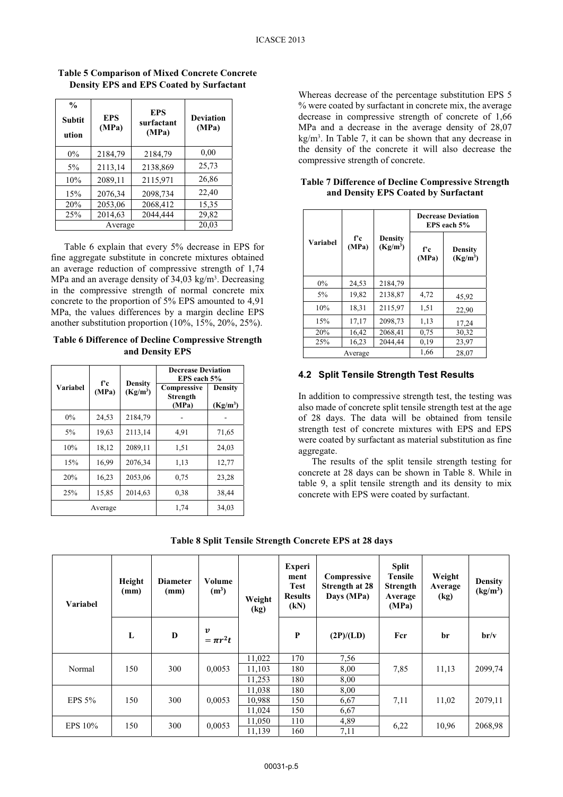| $\frac{0}{0}$<br><b>Subtit</b><br>ution | <b>EPS</b><br>(MPa) | <b>EPS</b><br>surfactant<br>(MPa) | <b>Deviation</b><br>(MPa) |
|-----------------------------------------|---------------------|-----------------------------------|---------------------------|
| $0\%$                                   | 2184,79             | 2184,79                           | 0,00                      |
| $5\%$                                   | 2113,14             | 2138,869                          | 25,73                     |
| 10%                                     | 2089,11             | 2115,971                          | 26,86                     |
| 15%                                     | 2076,34             | 2098,734                          | 22,40                     |
| 20%                                     | 2053,06             | 2068,412                          | 15,35                     |
| 25%                                     | 2014,63             | 2044,444                          | 29,82                     |
|                                         | Average             |                                   | 20,03                     |

**Table 5 Comparison of Mixed Concrete Concrete Density EPS and EPS Coated by Surfactant** 

Table 6 explain that every 5% decrease in EPS for fine aggregate substitute in concrete mixtures obtained an average reduction of compressive strength of 1,74 MPa and an average density of  $34.03 \text{ kg/m}^3$ . Decreasing in the compressive strength of normal concrete mix concrete to the proportion of 5% EPS amounted to 4,91 MPa, the values differences by a margin decline EPS another substitution proportion (10%, 15%, 20%, 25%).

**Table 6 Difference of Decline Compressive Strength and Density EPS** 

|          | f'e                 | <b>Density</b> | <b>Decrease Deviation</b><br>EPS each 5% |                              |  |
|----------|---------------------|----------------|------------------------------------------|------------------------------|--|
| Variabel | $(Kg/m^3)$<br>(MPa) |                | Compressive<br><b>Strength</b><br>(MPa)  | <b>Density</b><br>$(Kg/m^3)$ |  |
| $0\%$    | 24,53               | 2184,79        |                                          |                              |  |
| $5\%$    | 19,63               | 2113,14        | 4,91                                     | 71,65                        |  |
| 10%      | 18,12               | 2089,11        | 1,51                                     | 24,03                        |  |
| 15%      | 16,99               | 2076,34        | 1,13                                     | 12,77                        |  |
| 20%      | 16,23               | 2053,06        | 0.75                                     | 23,28                        |  |
| 25%      | 15,85               | 2014,63        | 0.38                                     | 38,44                        |  |
|          | Average             |                | 1,74                                     | 34,03                        |  |

Whereas decrease of the percentage substitution EPS 5 % were coated by surfactant in concrete mix, the average decrease in compressive strength of concrete of 1,66 MPa and a decrease in the average density of 28,07 kg/m3. In Table 7, it can be shown that any decrease in the density of the concrete it will also decrease the compressive strength of concrete.

|                 |             |                                        | <b>Decrease Deviation</b><br>EPS each 5% |                              |  |  |
|-----------------|-------------|----------------------------------------|------------------------------------------|------------------------------|--|--|
| <b>Variabel</b> | fс<br>(MPa) | <b>Density</b><br>(Kg/m <sup>3</sup> ) | f'c<br>(MPa)                             | <b>Density</b><br>$(Kg/m^3)$ |  |  |
| $0\%$           | 24,53       | 2184,79                                |                                          |                              |  |  |
| 5%              | 19,82       | 2138,87                                | 4,72                                     | 45,92                        |  |  |
| 10%             | 18.31       | 2115,97                                | 1,51                                     | 22,90                        |  |  |
| 15%             | 17,17       | 2098,73                                | 1,13                                     | 17,24                        |  |  |
| 20%             | 16,42       | 2068.41                                | 0.75                                     | 30,32                        |  |  |
| 25%             | 16,23       | 2044,44                                | 0.19                                     | 23,97                        |  |  |
|                 | Average     | 1,66                                   | 28.07                                    |                              |  |  |

#### **Table 7 Difference of Decline Compressive Strength and Density EPS Coated by Surfactant**

#### **4.2 Split Tensile Strength Test Results**

In addition to compressive strength test, the testing was also made of concrete split tensile strength test at the age of 28 days. The data will be obtained from tensile strength test of concrete mixtures with EPS and EPS were coated by surfactant as material substitution as fine aggregate.

The results of the split tensile strength testing for concrete at 28 days can be shown in Table 8. While in table 9, a split tensile strength and its density to mix concrete with EPS were coated by surfactant.

| <b>Variabel</b>       | Height<br>(mm) | <b>Diameter</b><br>(mm) | Volume<br>(m <sup>3</sup> )       | Weight<br>(kg) | <b>Experi</b><br>ment<br><b>Test</b><br><b>Results</b><br>(kN) | Compressive<br><b>Strength at 28</b><br>Days (MPa) | <b>Split</b><br>Tensile<br><b>Strength</b><br>Average<br>(MPa) | Weight<br>Average<br>$\left(\mathrm{kg}\right)$ | <b>Density</b><br>(kg/m <sup>3</sup> ) |
|-----------------------|----------------|-------------------------|-----------------------------------|----------------|----------------------------------------------------------------|----------------------------------------------------|----------------------------------------------------------------|-------------------------------------------------|----------------------------------------|
|                       | L              | D                       | $\boldsymbol{v}$<br>$= \pi r^2 t$ |                | P                                                              | (2P)/(LD)                                          | Fcr                                                            | br                                              | br/v                                   |
|                       | 150            | 300                     | 0,0053                            | 11,022         | 170                                                            | 7,56                                               |                                                                | 11,13                                           |                                        |
| Normal                |                |                         |                                   | 11,103         | 180                                                            | 8,00                                               | 7,85                                                           |                                                 | 2099,74                                |
|                       |                |                         |                                   | 11,253         | 180                                                            | 8,00                                               |                                                                |                                                 |                                        |
|                       |                |                         |                                   | 11,038         | 180                                                            | 8,00                                               |                                                                |                                                 | 2079,11                                |
| EPS $5%$              | 150            | 300                     | 0,0053                            | 10,988         | 150                                                            | 6,67                                               | 7,11                                                           | 11,02                                           |                                        |
|                       |                |                         |                                   | 11,024         | 150                                                            | 6,67                                               |                                                                |                                                 |                                        |
| <b>EPS 10%</b><br>150 | 300            | 0,0053                  | 11,050                            | 110            | 4,89                                                           |                                                    |                                                                | 2068,98                                         |                                        |
|                       |                |                         |                                   |                | 11,139                                                         | 160                                                | 7,11                                                           | 6,22                                            | 10,96                                  |

**Table 8 Split Tensile Strength Concrete EPS at 28 days**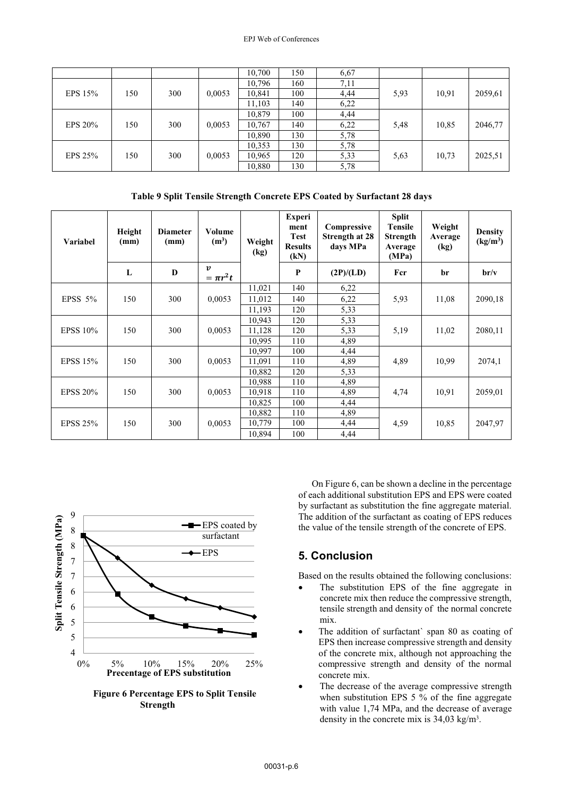|           |     |     |        | 10,700 | 150 | 6,67 |      |       |         |
|-----------|-----|-----|--------|--------|-----|------|------|-------|---------|
|           |     |     |        | 10,796 | 160 | 7,11 |      |       |         |
| EPS 15%   | 150 | 300 | 0,0053 | 10,841 | 100 | 4,44 | 5,93 | 10,91 | 2059,61 |
|           |     |     |        | 11,103 | 140 | 6,22 |      |       |         |
|           |     |     |        | 10,879 | 100 | 4,44 |      |       |         |
| EPS 20%   | 150 | 300 | 0,0053 | 10,767 | 140 | 6,22 | 5,48 | 10,85 | 2046,77 |
|           |     |     |        | 10,890 | 130 | 5,78 |      |       |         |
|           |     |     |        | 10,353 | 130 | 5,78 |      |       |         |
| EPS $25%$ | 150 | 300 | 0,0053 | 10,965 | 120 | 5,33 | 5,63 | 10,73 | 2025,51 |
|           |     |     |        | 10,880 | 130 | 5,78 |      |       |         |

**Table 9 Split Tensile Strength Concrete EPS Coated by Surfactant 28 days** 

| <b>Variabel</b> | Height<br>(mm) | <b>Diameter</b><br>(mm) | Volume<br>(m <sup>3</sup> )       | Weight<br>(kg) | <b>Experi</b><br>ment<br><b>Test</b><br><b>Results</b><br>(kN) | Compressive<br>Strength at 28<br>days MPa | <b>Split</b><br><b>Tensile</b><br><b>Strength</b><br>Average<br>(MPa) | Weight<br>Average<br>(kg) | <b>Density</b><br>(kg/m <sup>3</sup> ) |
|-----------------|----------------|-------------------------|-----------------------------------|----------------|----------------------------------------------------------------|-------------------------------------------|-----------------------------------------------------------------------|---------------------------|----------------------------------------|
|                 | L              | D                       | $\boldsymbol{v}$<br>$= \pi r^2 t$ |                | P                                                              | (2P)/(LD)                                 | Fcr                                                                   | br                        | br/v                                   |
|                 |                |                         |                                   | 11,021         | 140                                                            | 6,22                                      |                                                                       |                           |                                        |
| EPSS $5%$       | 150            | 300                     | 0,0053                            | 11,012         | 140                                                            | 6,22                                      | 5,93                                                                  | 11,08                     | 2090,18                                |
|                 |                |                         |                                   | 11.193         | 120                                                            | 5,33                                      |                                                                       |                           |                                        |
|                 |                |                         |                                   | 10,943         | 120                                                            | 5,33                                      |                                                                       |                           |                                        |
| <b>EPSS 10%</b> | 150            | 300                     | 0,0053                            | 11,128         | 120                                                            | 5,33                                      | 5,19                                                                  | 11,02                     | 2080,11                                |
|                 |                |                         |                                   | 10,995         | 110                                                            | 4,89                                      |                                                                       |                           |                                        |
|                 |                |                         |                                   | 10,997         | 100                                                            | 4,44                                      |                                                                       |                           |                                        |
| <b>EPSS 15%</b> | 150            | 300                     | 0,0053                            | 11,091         | 110                                                            | 4,89                                      | 4,89                                                                  | 10,99                     | 2074,1                                 |
|                 |                |                         |                                   | 10,882         | 120                                                            | 5,33                                      |                                                                       |                           |                                        |
|                 |                |                         |                                   | 10,988         | 110                                                            | 4,89                                      |                                                                       |                           |                                        |
| <b>EPSS 20%</b> | 150            | 300                     | 0,0053                            | 10,918         | 110                                                            | 4,89                                      | 4,74                                                                  | 10,91                     | 2059,01                                |
|                 |                |                         |                                   | 10,825         | 100                                                            | 4,44                                      |                                                                       |                           |                                        |
|                 |                |                         |                                   | 10,882         | 110                                                            | 4,89                                      |                                                                       |                           |                                        |
| <b>EPSS 25%</b> | 150            | 300                     | 0,0053                            | 10,779         | 100                                                            | 4,44                                      | 4,59                                                                  | 10,85                     | 2047,97                                |
|                 |                |                         |                                   | 10,894         | 100                                                            | 4,44                                      |                                                                       |                           |                                        |



**Figure 6 Percentage EPS to Split Tensile Strength** 

On Figure 6, can be shown a decline in the percentage of each additional substitution EPS and EPS were coated by surfactant as substitution the fine aggregate material. The addition of the surfactant as coating of EPS reduces the value of the tensile strength of the concrete of EPS.

# **5. Conclusion**

Based on the results obtained the following conclusions:

- - The substitution EPS of the fine aggregate in concrete mix then reduce the compressive strength, tensile strength and density of the normal concrete mix.
- - The addition of surfactant` span 80 as coating of EPS then increase compressive strength and density of the concrete mix, although not approaching the compressive strength and density of the normal concrete mix.
- - The decrease of the average compressive strength when substitution EPS 5 % of the fine aggregate with value 1,74 MPa, and the decrease of average density in the concrete mix is 34,03 kg/m3.